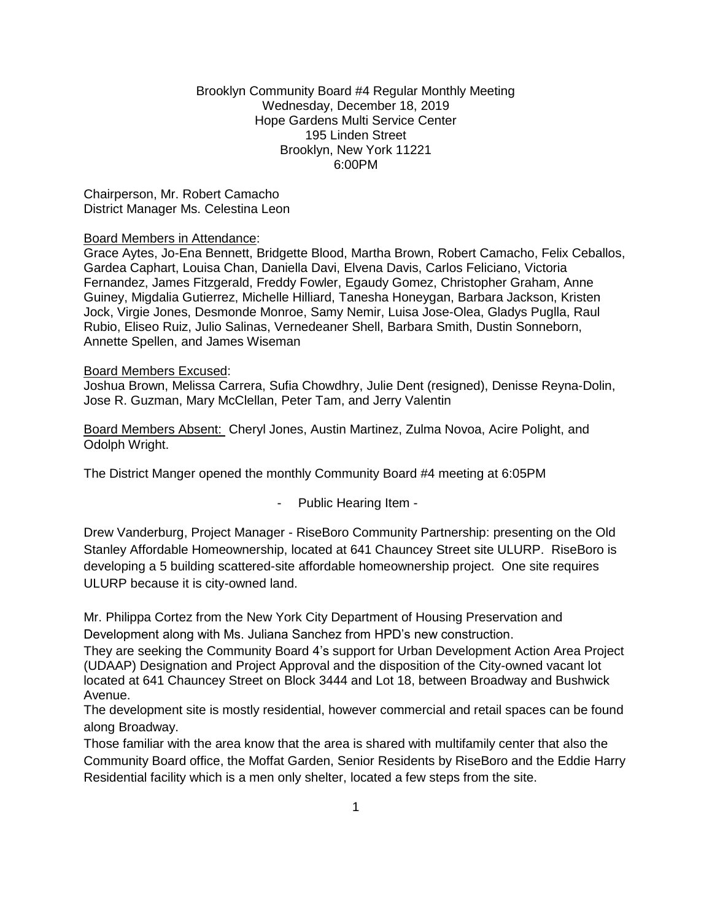### Brooklyn Community Board #4 Regular Monthly Meeting Wednesday, December 18, 2019 Hope Gardens Multi Service Center 195 Linden Street Brooklyn, New York 11221 6:00PM

Chairperson, Mr. Robert Camacho District Manager Ms. Celestina Leon

#### Board Members in Attendance:

Grace Aytes, Jo-Ena Bennett, Bridgette Blood, Martha Brown, Robert Camacho, Felix Ceballos, Gardea Caphart, Louisa Chan, Daniella Davi, Elvena Davis, Carlos Feliciano, Victoria Fernandez, James Fitzgerald, Freddy Fowler, Egaudy Gomez, Christopher Graham, Anne Guiney, Migdalia Gutierrez, Michelle Hilliard, Tanesha Honeygan, Barbara Jackson, Kristen Jock, Virgie Jones, Desmonde Monroe, Samy Nemir, Luisa Jose-Olea, Gladys Puglla, Raul Rubio, Eliseo Ruiz, Julio Salinas, Vernedeaner Shell, Barbara Smith, Dustin Sonneborn, Annette Spellen, and James Wiseman

#### Board Members Excused:

Joshua Brown, Melissa Carrera, Sufia Chowdhry, Julie Dent (resigned), Denisse Reyna-Dolin, Jose R. Guzman, Mary McClellan, Peter Tam, and Jerry Valentin

Board Members Absent: Cheryl Jones, Austin Martinez, Zulma Novoa, Acire Polight, and Odolph Wright.

The District Manger opened the monthly Community Board #4 meeting at 6:05PM

- Public Hearing Item -

Drew Vanderburg, Project Manager - RiseBoro Community Partnership: presenting on the Old Stanley Affordable Homeownership, located at 641 Chauncey Street site ULURP. RiseBoro is developing a 5 building scattered-site affordable homeownership project. One site requires ULURP because it is city-owned land.

Mr. Philippa Cortez from the New York City Department of Housing Preservation and Development along with Ms. Juliana Sanchez from HPD's new construction.

They are seeking the Community Board 4's support for Urban Development Action Area Project (UDAAP) Designation and Project Approval and the disposition of the City-owned vacant lot located at 641 Chauncey Street on Block 3444 and Lot 18, between Broadway and Bushwick Avenue.

The development site is mostly residential, however commercial and retail spaces can be found along Broadway.

Those familiar with the area know that the area is shared with multifamily center that also the Community Board office, the Moffat Garden, Senior Residents by RiseBoro and the Eddie Harry Residential facility which is a men only shelter, located a few steps from the site.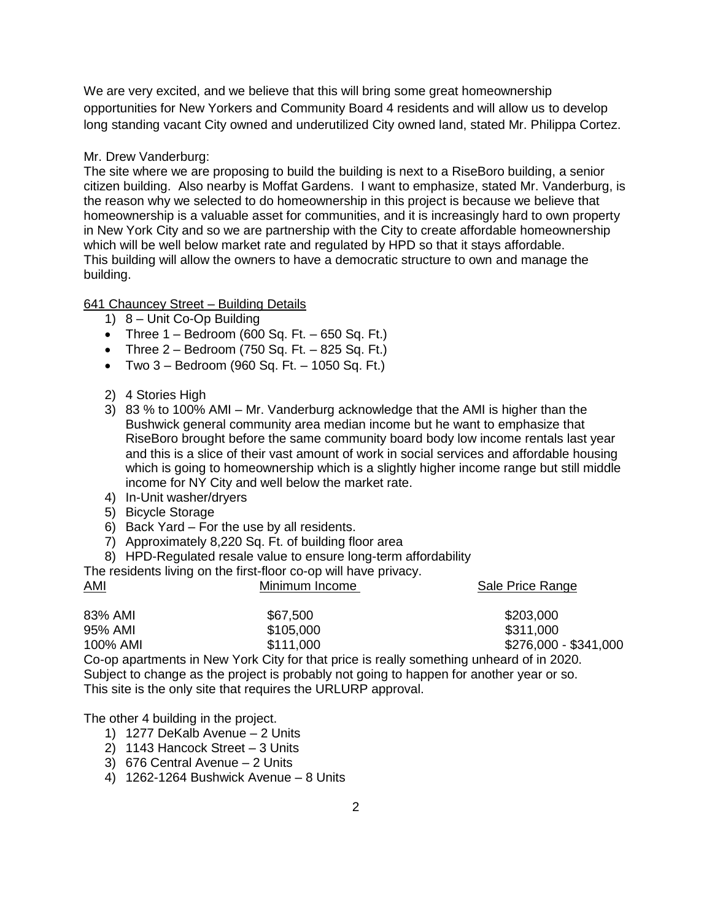We are very excited, and we believe that this will bring some great homeownership opportunities for New Yorkers and Community Board 4 residents and will allow us to develop long standing vacant City owned and underutilized City owned land, stated Mr. Philippa Cortez.

## Mr. Drew Vanderburg:

The site where we are proposing to build the building is next to a RiseBoro building, a senior citizen building. Also nearby is Moffat Gardens. I want to emphasize, stated Mr. Vanderburg, is the reason why we selected to do homeownership in this project is because we believe that homeownership is a valuable asset for communities, and it is increasingly hard to own property in New York City and so we are partnership with the City to create affordable homeownership which will be well below market rate and regulated by HPD so that it stays affordable. This building will allow the owners to have a democratic structure to own and manage the building.

## 641 Chauncey Street – Building Details

- 1) 8 Unit Co-Op Building
- Three  $1 \text{Bedroom}$  (600 Sq. Ft.  $-$  650 Sq. Ft.)
- Three  $2 \text{Bedroom}$  (750 Sq. Ft. 825 Sq. Ft.)
- Two  $3 \text{Bedroom}$  (960 Sq. Ft.  $-$  1050 Sq. Ft.)
- 2) 4 Stories High
- 3) 83 % to 100% AMI Mr. Vanderburg acknowledge that the AMI is higher than the Bushwick general community area median income but he want to emphasize that RiseBoro brought before the same community board body low income rentals last year and this is a slice of their vast amount of work in social services and affordable housing which is going to homeownership which is a slightly higher income range but still middle income for NY City and well below the market rate.
- 4) In-Unit washer/dryers
- 5) Bicycle Storage
- 6) Back Yard For the use by all residents.
- 7) Approximately 8,220 Sq. Ft. of building floor area
- 8) HPD-Regulated resale value to ensure long-term affordability

|            | The residents living on the first-floor co-op will have privacy.                         |                       |
|------------|------------------------------------------------------------------------------------------|-----------------------|
| <u>AMI</u> | Minimum Income                                                                           | Sale Price Range      |
| 83% AMI    | \$67,500                                                                                 | \$203,000             |
| 95% AMI    | \$105,000                                                                                | \$311,000             |
| 100% AMI   | \$111.000                                                                                | \$276,000 - \$341,000 |
|            | Co-op apartments in New York City for that price is really something unheard of in 2020. |                       |

Subject to change as the project is probably not going to happen for another year or so. This site is the only site that requires the URLURP approval.

The other 4 building in the project.

- 1) 1277 DeKalb Avenue 2 Units
- 2) 1143 Hancock Street 3 Units
- 3) 676 Central Avenue 2 Units
- 4) 1262-1264 Bushwick Avenue 8 Units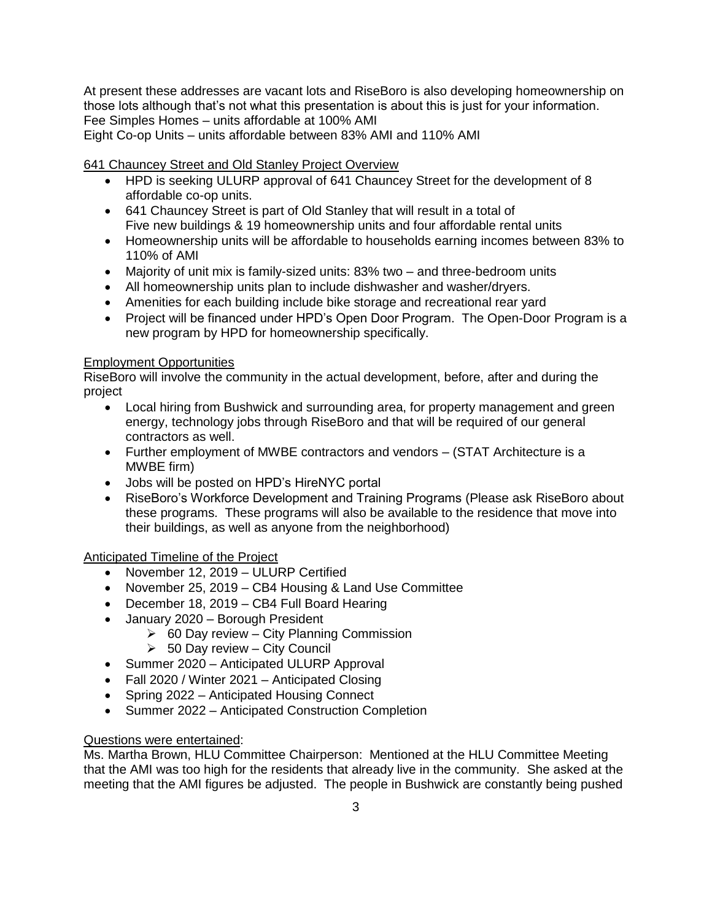At present these addresses are vacant lots and RiseBoro is also developing homeownership on those lots although that's not what this presentation is about this is just for your information. Fee Simples Homes – units affordable at 100% AMI Eight Co-op Units – units affordable between 83% AMI and 110% AMI

641 Chauncey Street and Old Stanley Project Overview

- HPD is seeking ULURP approval of 641 Chauncey Street for the development of 8 affordable co-op units.
- 641 Chauncey Street is part of Old Stanley that will result in a total of Five new buildings & 19 homeownership units and four affordable rental units
- Homeownership units will be affordable to households earning incomes between 83% to 110% of AMI
- Majority of unit mix is family-sized units: 83% two and three-bedroom units
- All homeownership units plan to include dishwasher and washer/dryers.
- Amenities for each building include bike storage and recreational rear yard
- Project will be financed under HPD's Open Door Program. The Open-Door Program is a new program by HPD for homeownership specifically.

## Employment Opportunities

RiseBoro will involve the community in the actual development, before, after and during the project

- Local hiring from Bushwick and surrounding area, for property management and green energy, technology jobs through RiseBoro and that will be required of our general contractors as well.
- Further employment of MWBE contractors and vendors (STAT Architecture is a MWBE firm)
- Jobs will be posted on HPD's HireNYC portal
- RiseBoro's Workforce Development and Training Programs (Please ask RiseBoro about these programs. These programs will also be available to the residence that move into their buildings, as well as anyone from the neighborhood)

Anticipated Timeline of the Project

- November 12, 2019 ULURP Certified
- November 25, 2019 CB4 Housing & Land Use Committee
- December 18, 2019 CB4 Full Board Hearing
- January 2020 Borough President
	- $\geqslant$  60 Day review City Planning Commission
	- $\geq$  50 Day review City Council
- Summer 2020 Anticipated ULURP Approval
- Fall 2020 / Winter 2021 Anticipated Closing
- Spring 2022 Anticipated Housing Connect
- Summer 2022 Anticipated Construction Completion

# Questions were entertained:

Ms. Martha Brown, HLU Committee Chairperson: Mentioned at the HLU Committee Meeting that the AMI was too high for the residents that already live in the community. She asked at the meeting that the AMI figures be adjusted. The people in Bushwick are constantly being pushed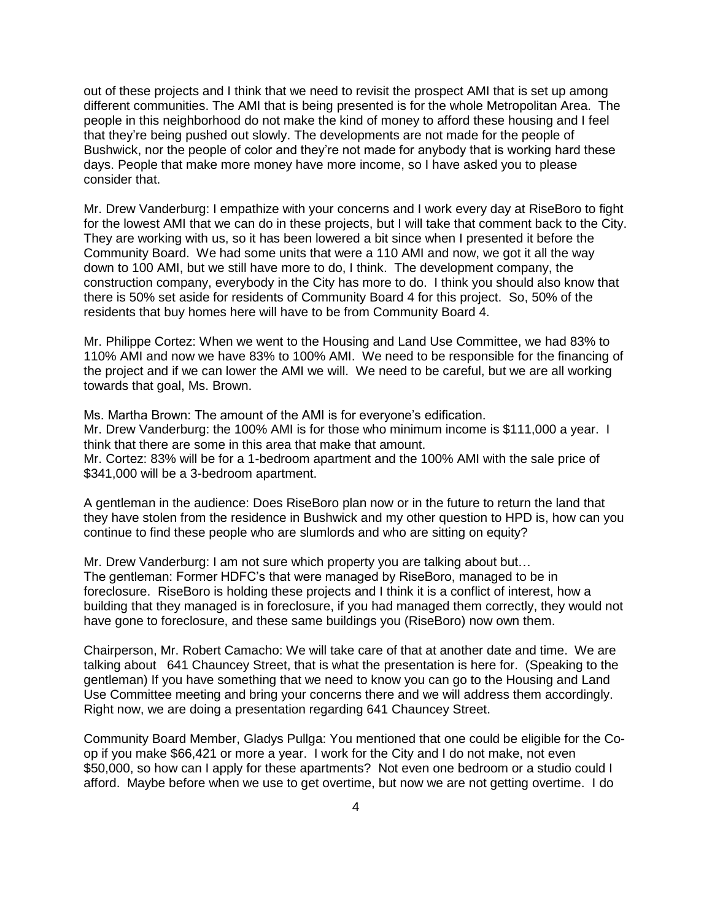out of these projects and I think that we need to revisit the prospect AMI that is set up among different communities. The AMI that is being presented is for the whole Metropolitan Area. The people in this neighborhood do not make the kind of money to afford these housing and I feel that they're being pushed out slowly. The developments are not made for the people of Bushwick, nor the people of color and they're not made for anybody that is working hard these days. People that make more money have more income, so I have asked you to please consider that.

Mr. Drew Vanderburg: I empathize with your concerns and I work every day at RiseBoro to fight for the lowest AMI that we can do in these projects, but I will take that comment back to the City. They are working with us, so it has been lowered a bit since when I presented it before the Community Board. We had some units that were a 110 AMI and now, we got it all the way down to 100 AMI, but we still have more to do, I think. The development company, the construction company, everybody in the City has more to do. I think you should also know that there is 50% set aside for residents of Community Board 4 for this project. So, 50% of the residents that buy homes here will have to be from Community Board 4.

Mr. Philippe Cortez: When we went to the Housing and Land Use Committee, we had 83% to 110% AMI and now we have 83% to 100% AMI. We need to be responsible for the financing of the project and if we can lower the AMI we will. We need to be careful, but we are all working towards that goal, Ms. Brown.

Ms. Martha Brown: The amount of the AMI is for everyone's edification. Mr. Drew Vanderburg: the 100% AMI is for those who minimum income is \$111,000 a year. I think that there are some in this area that make that amount. Mr. Cortez: 83% will be for a 1-bedroom apartment and the 100% AMI with the sale price of \$341,000 will be a 3-bedroom apartment.

A gentleman in the audience: Does RiseBoro plan now or in the future to return the land that they have stolen from the residence in Bushwick and my other question to HPD is, how can you continue to find these people who are slumlords and who are sitting on equity?

Mr. Drew Vanderburg: I am not sure which property you are talking about but… The gentleman: Former HDFC's that were managed by RiseBoro, managed to be in foreclosure. RiseBoro is holding these projects and I think it is a conflict of interest, how a building that they managed is in foreclosure, if you had managed them correctly, they would not have gone to foreclosure, and these same buildings you (RiseBoro) now own them.

Chairperson, Mr. Robert Camacho: We will take care of that at another date and time. We are talking about 641 Chauncey Street, that is what the presentation is here for. (Speaking to the gentleman) If you have something that we need to know you can go to the Housing and Land Use Committee meeting and bring your concerns there and we will address them accordingly. Right now, we are doing a presentation regarding 641 Chauncey Street.

Community Board Member, Gladys Pullga: You mentioned that one could be eligible for the Coop if you make \$66,421 or more a year. I work for the City and I do not make, not even \$50,000, so how can I apply for these apartments? Not even one bedroom or a studio could I afford. Maybe before when we use to get overtime, but now we are not getting overtime. I do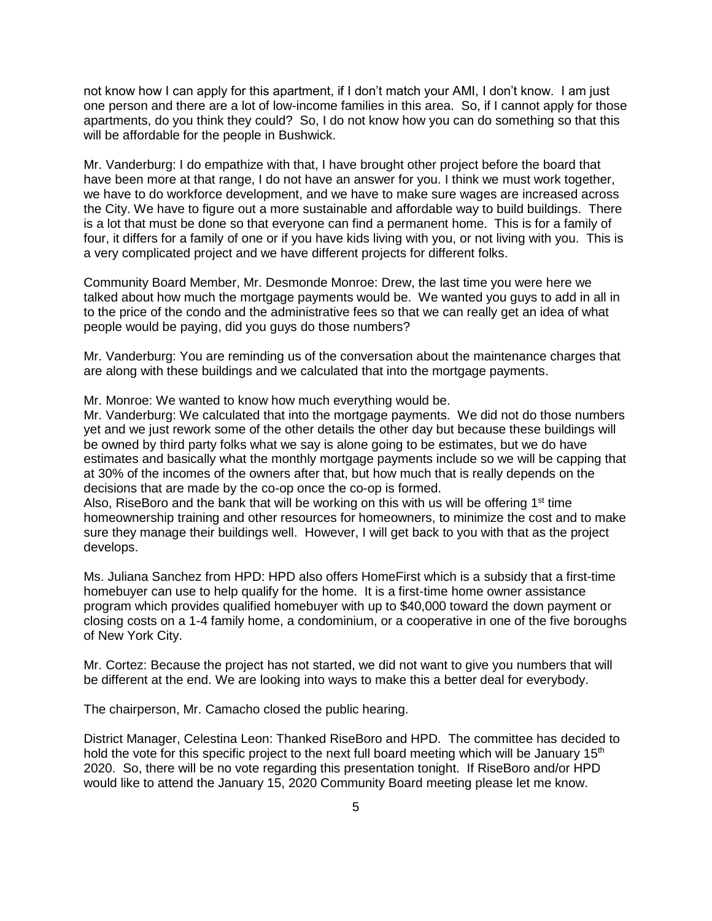not know how I can apply for this apartment, if I don't match your AMI, I don't know. I am just one person and there are a lot of low-income families in this area. So, if I cannot apply for those apartments, do you think they could? So, I do not know how you can do something so that this will be affordable for the people in Bushwick.

Mr. Vanderburg: I do empathize with that, I have brought other project before the board that have been more at that range, I do not have an answer for you. I think we must work together, we have to do workforce development, and we have to make sure wages are increased across the City. We have to figure out a more sustainable and affordable way to build buildings. There is a lot that must be done so that everyone can find a permanent home. This is for a family of four, it differs for a family of one or if you have kids living with you, or not living with you. This is a very complicated project and we have different projects for different folks.

Community Board Member, Mr. Desmonde Monroe: Drew, the last time you were here we talked about how much the mortgage payments would be. We wanted you guys to add in all in to the price of the condo and the administrative fees so that we can really get an idea of what people would be paying, did you guys do those numbers?

Mr. Vanderburg: You are reminding us of the conversation about the maintenance charges that are along with these buildings and we calculated that into the mortgage payments.

Mr. Monroe: We wanted to know how much everything would be.

Mr. Vanderburg: We calculated that into the mortgage payments. We did not do those numbers yet and we just rework some of the other details the other day but because these buildings will be owned by third party folks what we say is alone going to be estimates, but we do have estimates and basically what the monthly mortgage payments include so we will be capping that at 30% of the incomes of the owners after that, but how much that is really depends on the decisions that are made by the co-op once the co-op is formed.

Also, RiseBoro and the bank that will be working on this with us will be offering  $1<sup>st</sup>$  time homeownership training and other resources for homeowners, to minimize the cost and to make sure they manage their buildings well. However, I will get back to you with that as the project develops.

Ms. Juliana Sanchez from HPD: HPD also offers HomeFirst which is a subsidy that a first-time homebuyer can use to help qualify for the home. It is a first-time home owner assistance program which provides qualified homebuyer with up to \$40,000 toward the down payment or closing costs on a 1-4 family home, a condominium, or a cooperative in one of the five boroughs of New York City.

Mr. Cortez: Because the project has not started, we did not want to give you numbers that will be different at the end. We are looking into ways to make this a better deal for everybody.

The chairperson, Mr. Camacho closed the public hearing.

District Manager, Celestina Leon: Thanked RiseBoro and HPD. The committee has decided to hold the vote for this specific project to the next full board meeting which will be January  $15<sup>th</sup>$ 2020. So, there will be no vote regarding this presentation tonight. If RiseBoro and/or HPD would like to attend the January 15, 2020 Community Board meeting please let me know.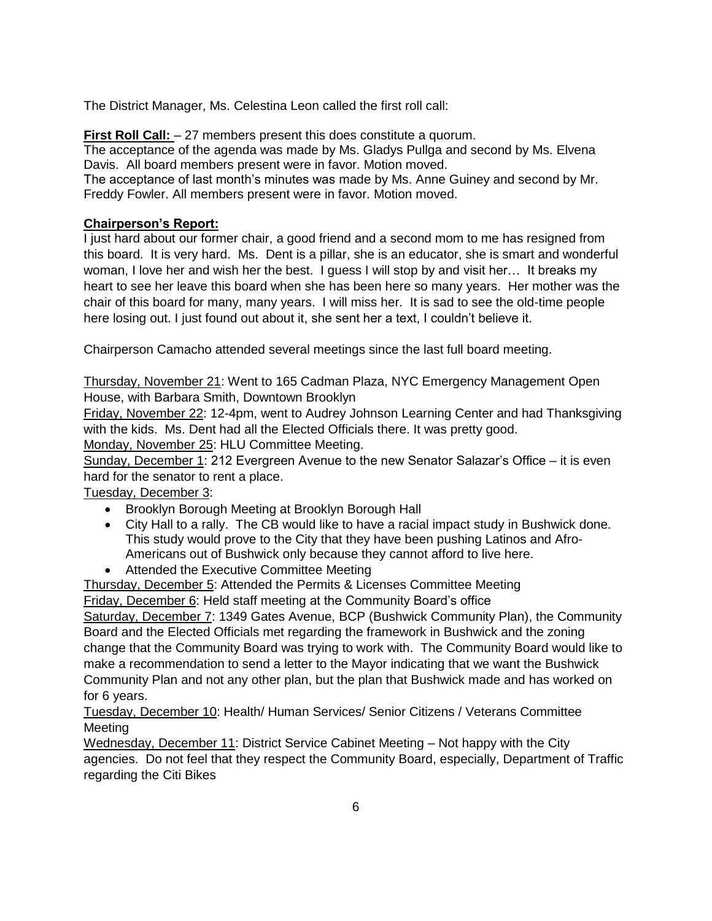The District Manager, Ms. Celestina Leon called the first roll call:

**First Roll Call:**  $-27$  members present this does constitute a quorum. The acceptance of the agenda was made by Ms. Gladys Pullga and second by Ms. Elvena Davis. All board members present were in favor. Motion moved.

The acceptance of last month's minutes was made by Ms. Anne Guiney and second by Mr. Freddy Fowler. All members present were in favor. Motion moved.

# **Chairperson's Report:**

I just hard about our former chair, a good friend and a second mom to me has resigned from this board. It is very hard. Ms. Dent is a pillar, she is an educator, she is smart and wonderful woman, I love her and wish her the best. I guess I will stop by and visit her… It breaks my heart to see her leave this board when she has been here so many years. Her mother was the chair of this board for many, many years. I will miss her. It is sad to see the old-time people here losing out. I just found out about it, she sent her a text, I couldn't believe it.

Chairperson Camacho attended several meetings since the last full board meeting.

Thursday, November 21: Went to 165 Cadman Plaza, NYC Emergency Management Open House, with Barbara Smith, Downtown Brooklyn

Friday, November 22: 12-4pm, went to Audrey Johnson Learning Center and had Thanksgiving with the kids. Ms. Dent had all the Elected Officials there. It was pretty good.

Monday, November 25: HLU Committee Meeting.

Sunday, December 1: 212 Evergreen Avenue to the new Senator Salazar's Office – it is even hard for the senator to rent a place.

Tuesday, December 3:

- Brooklyn Borough Meeting at Brooklyn Borough Hall
- City Hall to a rally. The CB would like to have a racial impact study in Bushwick done. This study would prove to the City that they have been pushing Latinos and Afro-Americans out of Bushwick only because they cannot afford to live here.
- Attended the Executive Committee Meeting

Thursday, December 5: Attended the Permits & Licenses Committee Meeting

Friday, December 6: Held staff meeting at the Community Board's office

Saturday, December 7: 1349 Gates Avenue, BCP (Bushwick Community Plan), the Community Board and the Elected Officials met regarding the framework in Bushwick and the zoning change that the Community Board was trying to work with. The Community Board would like to make a recommendation to send a letter to the Mayor indicating that we want the Bushwick Community Plan and not any other plan, but the plan that Bushwick made and has worked on for 6 years.

Tuesday, December 10: Health/ Human Services/ Senior Citizens / Veterans Committee Meeting

Wednesday, December 11: District Service Cabinet Meeting – Not happy with the City agencies. Do not feel that they respect the Community Board, especially, Department of Traffic regarding the Citi Bikes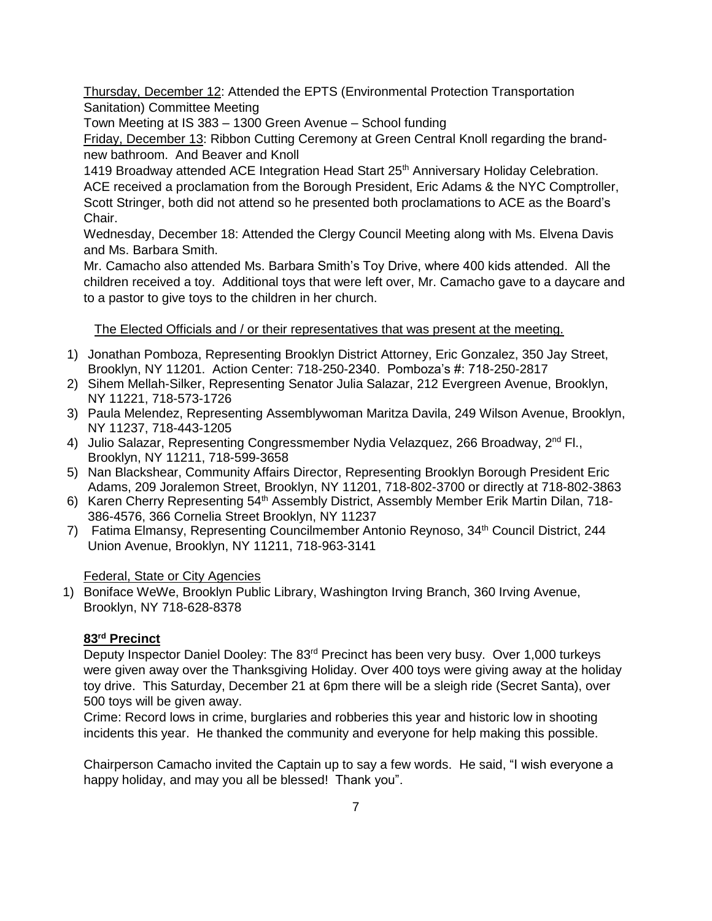Thursday, December 12: Attended the EPTS (Environmental Protection Transportation Sanitation) Committee Meeting

Town Meeting at IS 383 – 1300 Green Avenue – School funding

Friday, December 13: Ribbon Cutting Ceremony at Green Central Knoll regarding the brandnew bathroom. And Beaver and Knoll

1419 Broadway attended ACE Integration Head Start  $25<sup>th</sup>$  Anniversary Holiday Celebration. ACE received a proclamation from the Borough President, Eric Adams & the NYC Comptroller, Scott Stringer, both did not attend so he presented both proclamations to ACE as the Board's Chair.

Wednesday, December 18: Attended the Clergy Council Meeting along with Ms. Elvena Davis and Ms. Barbara Smith.

Mr. Camacho also attended Ms. Barbara Smith's Toy Drive, where 400 kids attended. All the children received a toy. Additional toys that were left over, Mr. Camacho gave to a daycare and to a pastor to give toys to the children in her church.

The Elected Officials and / or their representatives that was present at the meeting.

- 1) Jonathan Pomboza, Representing Brooklyn District Attorney, Eric Gonzalez, 350 Jay Street, Brooklyn, NY 11201. Action Center: 718-250-2340. Pomboza's #: 718-250-2817
- 2) Sihem Mellah-Silker, Representing Senator Julia Salazar, 212 Evergreen Avenue, Brooklyn, NY 11221, 718-573-1726
- 3) Paula Melendez, Representing Assemblywoman Maritza Davila, 249 Wilson Avenue, Brooklyn, NY 11237, 718-443-1205
- 4) Julio Salazar, Representing Congressmember Nydia Velazquez, 266 Broadway, 2<sup>nd</sup> Fl., Brooklyn, NY 11211, 718-599-3658
- 5) Nan Blackshear, Community Affairs Director, Representing Brooklyn Borough President Eric Adams, 209 Joralemon Street, Brooklyn, NY 11201, 718-802-3700 or directly at 718-802-3863
- 6) Karen Cherry Representing 54th Assembly District, Assembly Member Erik Martin Dilan, 718- 386-4576, 366 Cornelia Street Brooklyn, NY 11237
- 7) Fatima Elmansy, Representing Councilmember Antonio Reynoso, 34<sup>th</sup> Council District, 244 Union Avenue, Brooklyn, NY 11211, 718-963-3141

# Federal, State or City Agencies

1) Boniface WeWe, Brooklyn Public Library, Washington Irving Branch, 360 Irving Avenue, Brooklyn, NY 718-628-8378

# **83rd Precinct**

Deputy Inspector Daniel Dooley: The 83<sup>rd</sup> Precinct has been very busy. Over 1,000 turkeys were given away over the Thanksgiving Holiday. Over 400 toys were giving away at the holiday toy drive. This Saturday, December 21 at 6pm there will be a sleigh ride (Secret Santa), over 500 toys will be given away.

Crime: Record lows in crime, burglaries and robberies this year and historic low in shooting incidents this year. He thanked the community and everyone for help making this possible.

Chairperson Camacho invited the Captain up to say a few words. He said, "I wish everyone a happy holiday, and may you all be blessed! Thank you".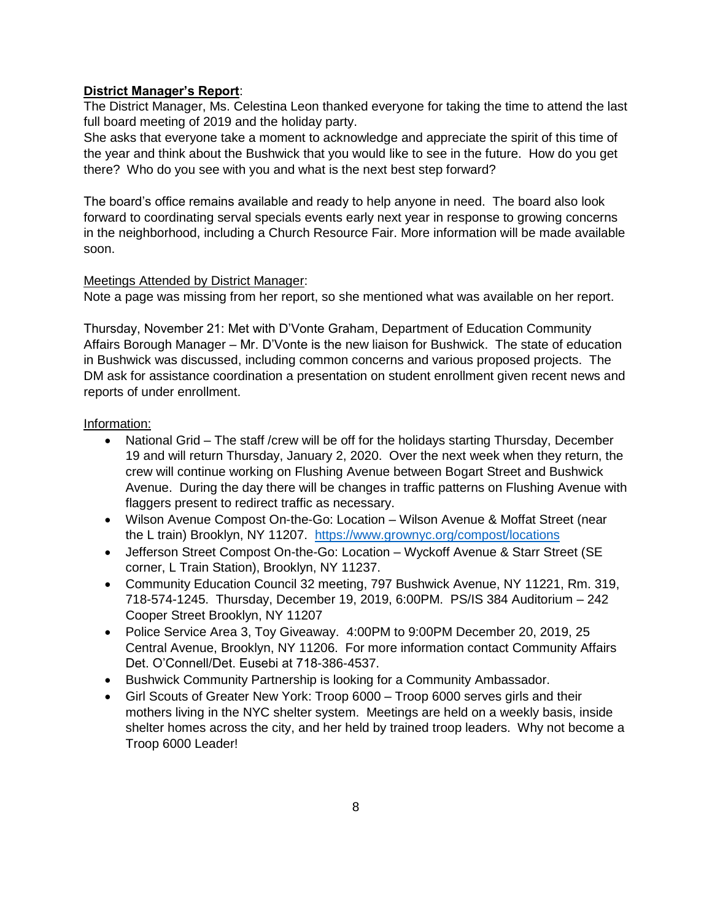# **District Manager's Report**:

The District Manager, Ms. Celestina Leon thanked everyone for taking the time to attend the last full board meeting of 2019 and the holiday party.

She asks that everyone take a moment to acknowledge and appreciate the spirit of this time of the year and think about the Bushwick that you would like to see in the future. How do you get there? Who do you see with you and what is the next best step forward?

The board's office remains available and ready to help anyone in need. The board also look forward to coordinating serval specials events early next year in response to growing concerns in the neighborhood, including a Church Resource Fair. More information will be made available soon.

### Meetings Attended by District Manager:

Note a page was missing from her report, so she mentioned what was available on her report.

Thursday, November 21: Met with D'Vonte Graham, Department of Education Community Affairs Borough Manager – Mr. D'Vonte is the new liaison for Bushwick. The state of education in Bushwick was discussed, including common concerns and various proposed projects. The DM ask for assistance coordination a presentation on student enrollment given recent news and reports of under enrollment.

## Information:

- National Grid The staff /crew will be off for the holidays starting Thursday, December 19 and will return Thursday, January 2, 2020. Over the next week when they return, the crew will continue working on Flushing Avenue between Bogart Street and Bushwick Avenue. During the day there will be changes in traffic patterns on Flushing Avenue with flaggers present to redirect traffic as necessary.
- Wilson Avenue Compost On-the-Go: Location Wilson Avenue & Moffat Street (near the L train) Brooklyn, NY 11207. <https://www.grownyc.org/compost/locations>
- Jefferson Street Compost On-the-Go: Location Wyckoff Avenue & Starr Street (SE corner, L Train Station), Brooklyn, NY 11237.
- Community Education Council 32 meeting, 797 Bushwick Avenue, NY 11221, Rm. 319, 718-574-1245. Thursday, December 19, 2019, 6:00PM. PS/IS 384 Auditorium – 242 Cooper Street Brooklyn, NY 11207
- Police Service Area 3, Toy Giveaway. 4:00PM to 9:00PM December 20, 2019, 25 Central Avenue, Brooklyn, NY 11206. For more information contact Community Affairs Det. O'Connell/Det. Eusebi at 718-386-4537.
- Bushwick Community Partnership is looking for a Community Ambassador.
- Girl Scouts of Greater New York: Troop 6000 Troop 6000 serves girls and their mothers living in the NYC shelter system. Meetings are held on a weekly basis, inside shelter homes across the city, and her held by trained troop leaders. Why not become a Troop 6000 Leader!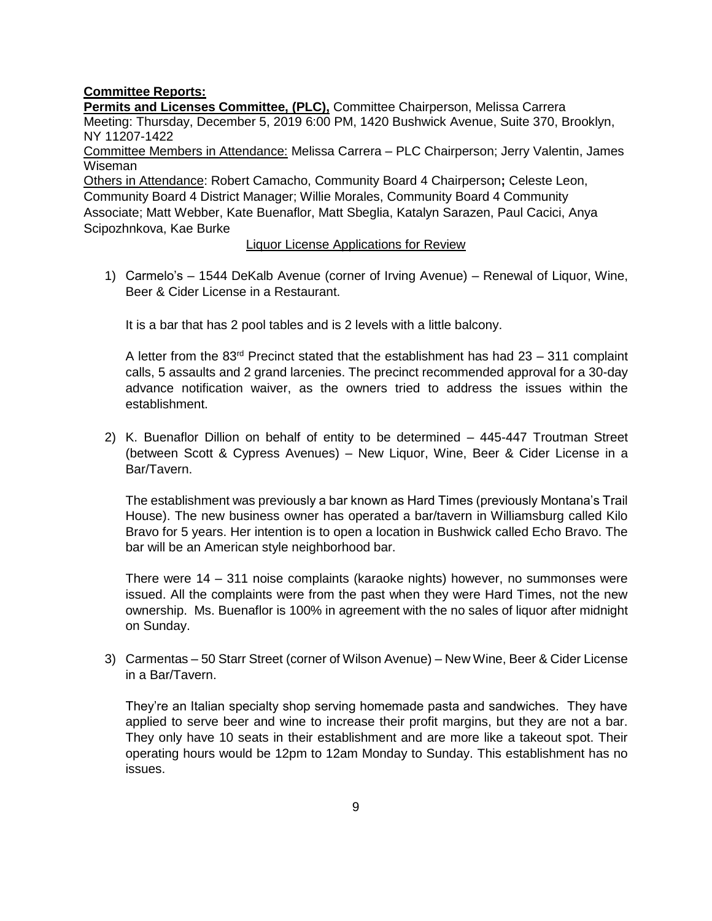## **Committee Reports:**

**Permits and Licenses Committee, (PLC),** Committee Chairperson, Melissa Carrera Meeting: Thursday, December 5, 2019 6:00 PM, 1420 Bushwick Avenue, Suite 370, Brooklyn, NY 11207-1422

Committee Members in Attendance: Melissa Carrera – PLC Chairperson; Jerry Valentin, James Wiseman

Others in Attendance: Robert Camacho, Community Board 4 Chairperson**;** Celeste Leon, Community Board 4 District Manager; Willie Morales, Community Board 4 Community Associate; Matt Webber, Kate Buenaflor, Matt Sbeglia, Katalyn Sarazen, Paul Cacici, Anya Scipozhnkova, Kae Burke

### Liquor License Applications for Review

1) Carmelo's – 1544 DeKalb Avenue (corner of Irving Avenue) – Renewal of Liquor, Wine, Beer & Cider License in a Restaurant.

It is a bar that has 2 pool tables and is 2 levels with a little balcony.

A letter from the 83<sup>rd</sup> Precinct stated that the establishment has had  $23 - 311$  complaint calls, 5 assaults and 2 grand larcenies. The precinct recommended approval for a 30-day advance notification waiver, as the owners tried to address the issues within the establishment.

2) K. Buenaflor Dillion on behalf of entity to be determined – 445-447 Troutman Street (between Scott & Cypress Avenues) – New Liquor, Wine, Beer & Cider License in a Bar/Tavern.

The establishment was previously a bar known as Hard Times (previously Montana's Trail House). The new business owner has operated a bar/tavern in Williamsburg called Kilo Bravo for 5 years. Her intention is to open a location in Bushwick called Echo Bravo. The bar will be an American style neighborhood bar.

There were 14 – 311 noise complaints (karaoke nights) however, no summonses were issued. All the complaints were from the past when they were Hard Times, not the new ownership. Ms. Buenaflor is 100% in agreement with the no sales of liquor after midnight on Sunday.

3) Carmentas – 50 Starr Street (corner of Wilson Avenue) – New Wine, Beer & Cider License in a Bar/Tavern.

They're an Italian specialty shop serving homemade pasta and sandwiches. They have applied to serve beer and wine to increase their profit margins, but they are not a bar. They only have 10 seats in their establishment and are more like a takeout spot. Their operating hours would be 12pm to 12am Monday to Sunday. This establishment has no issues.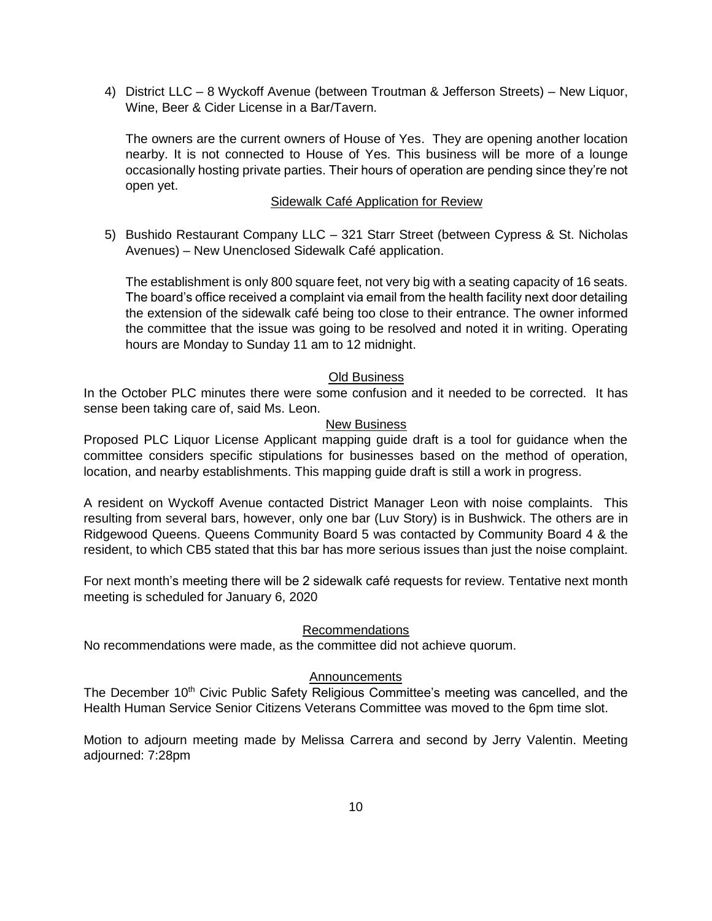4) District LLC – 8 Wyckoff Avenue (between Troutman & Jefferson Streets) – New Liquor, Wine, Beer & Cider License in a Bar/Tavern.

The owners are the current owners of House of Yes. They are opening another location nearby. It is not connected to House of Yes. This business will be more of a lounge occasionally hosting private parties. Their hours of operation are pending since they're not open yet.

## Sidewalk Café Application for Review

5) Bushido Restaurant Company LLC – 321 Starr Street (between Cypress & St. Nicholas Avenues) – New Unenclosed Sidewalk Café application.

The establishment is only 800 square feet, not very big with a seating capacity of 16 seats. The board's office received a complaint via email from the health facility next door detailing the extension of the sidewalk café being too close to their entrance. The owner informed the committee that the issue was going to be resolved and noted it in writing. Operating hours are Monday to Sunday 11 am to 12 midnight.

### Old Business

In the October PLC minutes there were some confusion and it needed to be corrected. It has sense been taking care of, said Ms. Leon.

### New Business

Proposed PLC Liquor License Applicant mapping guide draft is a tool for guidance when the committee considers specific stipulations for businesses based on the method of operation, location, and nearby establishments. This mapping guide draft is still a work in progress.

A resident on Wyckoff Avenue contacted District Manager Leon with noise complaints. This resulting from several bars, however, only one bar (Luv Story) is in Bushwick. The others are in Ridgewood Queens. Queens Community Board 5 was contacted by Community Board 4 & the resident, to which CB5 stated that this bar has more serious issues than just the noise complaint.

For next month's meeting there will be 2 sidewalk café requests for review. Tentative next month meeting is scheduled for January 6, 2020

### Recommendations

No recommendations were made, as the committee did not achieve quorum.

### Announcements

The December 10<sup>th</sup> Civic Public Safety Religious Committee's meeting was cancelled, and the Health Human Service Senior Citizens Veterans Committee was moved to the 6pm time slot.

Motion to adjourn meeting made by Melissa Carrera and second by Jerry Valentin. Meeting adjourned: 7:28pm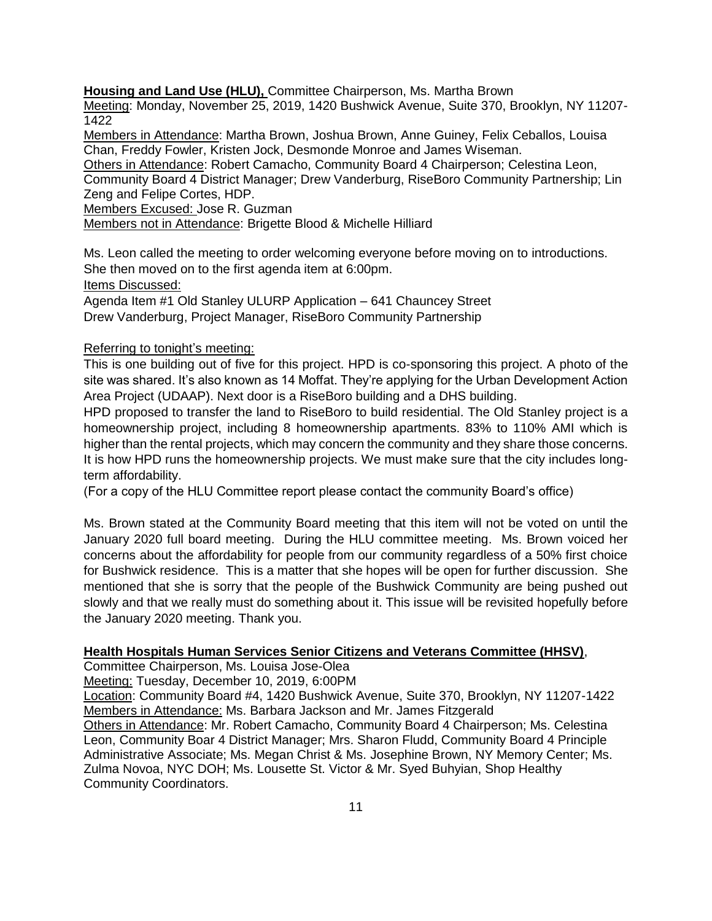**Housing and Land Use (HLU),** Committee Chairperson, Ms. Martha Brown

Meeting: Monday, November 25, 2019, 1420 Bushwick Avenue, Suite 370, Brooklyn, NY 11207- 1422

Members in Attendance: Martha Brown, Joshua Brown, Anne Guiney, Felix Ceballos, Louisa Chan, Freddy Fowler, Kristen Jock, Desmonde Monroe and James Wiseman.

Others in Attendance: Robert Camacho, Community Board 4 Chairperson; Celestina Leon, Community Board 4 District Manager; Drew Vanderburg, RiseBoro Community Partnership; Lin Zeng and Felipe Cortes, HDP.

Members Excused: Jose R. Guzman

Members not in Attendance: Brigette Blood & Michelle Hilliard

Ms. Leon called the meeting to order welcoming everyone before moving on to introductions. She then moved on to the first agenda item at 6:00pm.

Items Discussed:

Agenda Item #1 Old Stanley ULURP Application – 641 Chauncey Street Drew Vanderburg, Project Manager, RiseBoro Community Partnership

#### Referring to tonight's meeting:

This is one building out of five for this project. HPD is co-sponsoring this project. A photo of the site was shared. It's also known as 14 Moffat. They're applying for the Urban Development Action Area Project (UDAAP). Next door is a RiseBoro building and a DHS building.

HPD proposed to transfer the land to RiseBoro to build residential. The Old Stanley project is a homeownership project, including 8 homeownership apartments. 83% to 110% AMI which is higher than the rental projects, which may concern the community and they share those concerns. It is how HPD runs the homeownership projects. We must make sure that the city includes longterm affordability.

(For a copy of the HLU Committee report please contact the community Board's office)

Ms. Brown stated at the Community Board meeting that this item will not be voted on until the January 2020 full board meeting. During the HLU committee meeting. Ms. Brown voiced her concerns about the affordability for people from our community regardless of a 50% first choice for Bushwick residence. This is a matter that she hopes will be open for further discussion. She mentioned that she is sorry that the people of the Bushwick Community are being pushed out slowly and that we really must do something about it. This issue will be revisited hopefully before the January 2020 meeting. Thank you.

### **Health Hospitals Human Services Senior Citizens and Veterans Committee (HHSV)**,

Committee Chairperson, Ms. Louisa Jose-Olea

Meeting: Tuesday, December 10, 2019, 6:00PM

Location: Community Board #4, 1420 Bushwick Avenue, Suite 370, Brooklyn, NY 11207-1422 Members in Attendance: Ms. Barbara Jackson and Mr. James Fitzgerald

Others in Attendance: Mr. Robert Camacho, Community Board 4 Chairperson; Ms. Celestina Leon, Community Boar 4 District Manager; Mrs. Sharon Fludd, Community Board 4 Principle Administrative Associate; Ms. Megan Christ & Ms. Josephine Brown, NY Memory Center; Ms. Zulma Novoa, NYC DOH; Ms. Lousette St. Victor & Mr. Syed Buhyian, Shop Healthy Community Coordinators.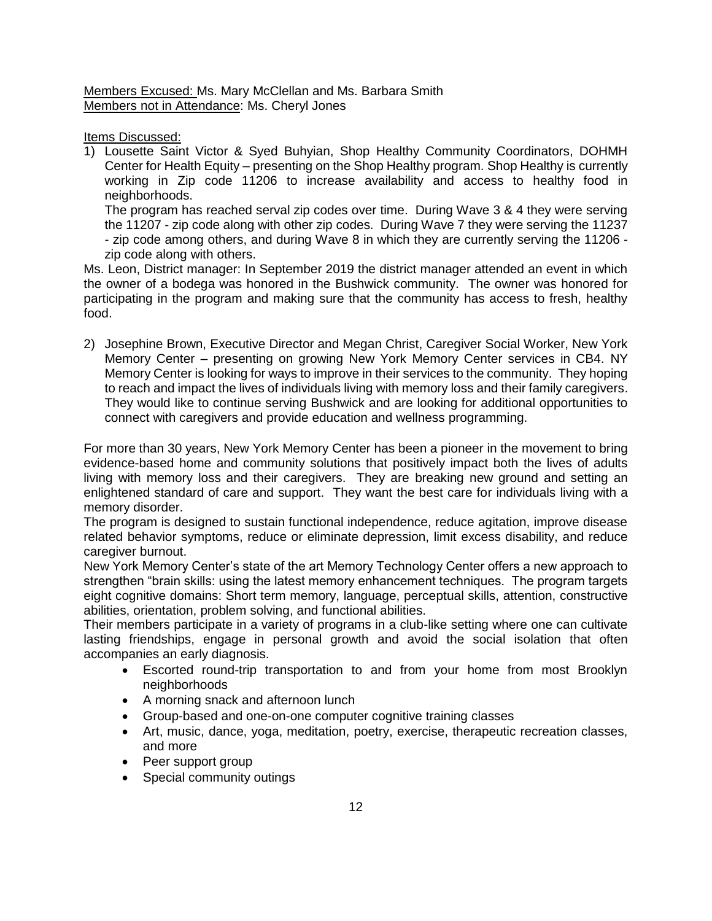Members Excused: Ms. Mary McClellan and Ms. Barbara Smith Members not in Attendance: Ms. Cheryl Jones

## Items Discussed:

1) Lousette Saint Victor & Syed Buhyian, Shop Healthy Community Coordinators, DOHMH Center for Health Equity – presenting on the Shop Healthy program. Shop Healthy is currently working in Zip code 11206 to increase availability and access to healthy food in neighborhoods. The program has reached serval zip codes over time. During Wave 3 & 4 they were serving

the 11207 - zip code along with other zip codes. During Wave 7 they were serving the 11237 - zip code among others, and during Wave 8 in which they are currently serving the 11206 zip code along with others.

Ms. Leon, District manager: In September 2019 the district manager attended an event in which the owner of a bodega was honored in the Bushwick community. The owner was honored for participating in the program and making sure that the community has access to fresh, healthy food.

2) Josephine Brown, Executive Director and Megan Christ, Caregiver Social Worker, New York Memory Center – presenting on growing New York Memory Center services in CB4. NY Memory Center is looking for ways to improve in their services to the community. They hoping to reach and impact the lives of individuals living with memory loss and their family caregivers. They would like to continue serving Bushwick and are looking for additional opportunities to connect with caregivers and provide education and wellness programming.

For more than 30 years, New York Memory Center has been a pioneer in the movement to bring evidence-based home and community solutions that positively impact both the lives of adults living with memory loss and their caregivers. They are breaking new ground and setting an enlightened standard of care and support. They want the best care for individuals living with a memory disorder.

The program is designed to sustain functional independence, reduce agitation, improve disease related behavior symptoms, reduce or eliminate depression, limit excess disability, and reduce caregiver burnout.

New York Memory Center's state of the art Memory Technology Center offers a new approach to strengthen "brain skills: using the latest memory enhancement techniques. The program targets eight cognitive domains: Short term memory, language, perceptual skills, attention, constructive abilities, orientation, problem solving, and functional abilities.

Their members participate in a variety of programs in a club-like setting where one can cultivate lasting friendships, engage in personal growth and avoid the social isolation that often accompanies an early diagnosis.

- Escorted round-trip transportation to and from your home from most Brooklyn neighborhoods
- A morning snack and afternoon lunch
- Group-based and one-on-one computer cognitive training classes
- Art, music, dance, yoga, meditation, poetry, exercise, therapeutic recreation classes, and more
- Peer support group
- Special community outings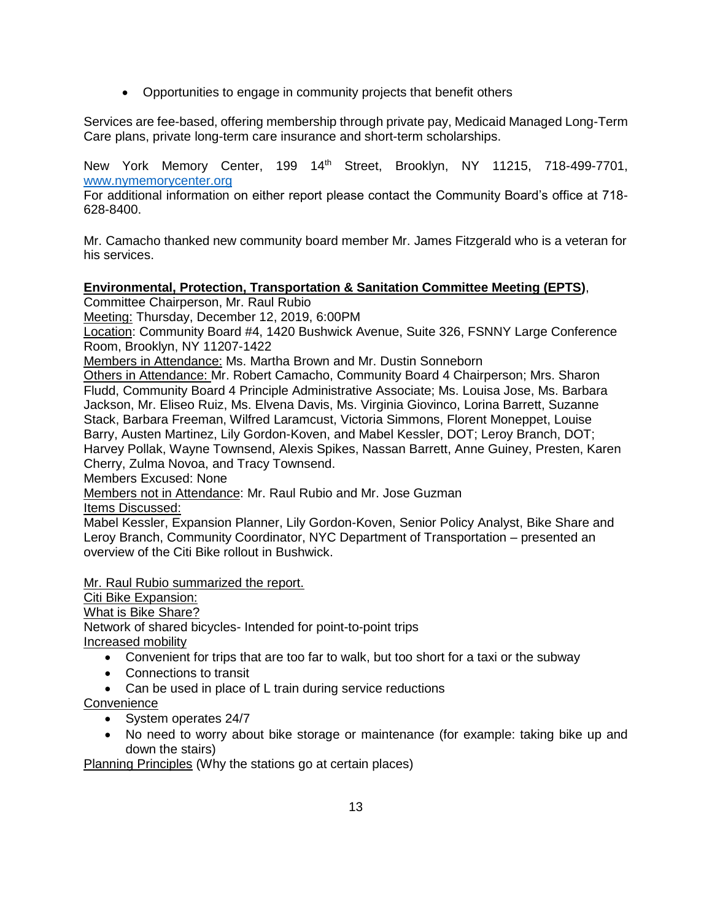• Opportunities to engage in community projects that benefit others

Services are fee-based, offering membership through private pay, Medicaid Managed Long-Term Care plans, private long-term care insurance and short-term scholarships.

New York Memory Center, 199 14<sup>th</sup> Street, Brooklyn, NY 11215, 718-499-7701, [www.nymemorycenter.org](http://www.nymemorycenter.org/)

For additional information on either report please contact the Community Board's office at 718- 628-8400.

Mr. Camacho thanked new community board member Mr. James Fitzgerald who is a veteran for his services.

# **Environmental, Protection, Transportation & Sanitation Committee Meeting (EPTS)**,

Committee Chairperson, Mr. Raul Rubio

Meeting: Thursday, December 12, 2019, 6:00PM

Location: Community Board #4, 1420 Bushwick Avenue, Suite 326, FSNNY Large Conference Room, Brooklyn, NY 11207-1422

Members in Attendance: Ms. Martha Brown and Mr. Dustin Sonneborn

Others in Attendance: Mr. Robert Camacho, Community Board 4 Chairperson; Mrs. Sharon Fludd, Community Board 4 Principle Administrative Associate; Ms. Louisa Jose, Ms. Barbara Jackson, Mr. Eliseo Ruiz, Ms. Elvena Davis, Ms. Virginia Giovinco, Lorina Barrett, Suzanne Stack, Barbara Freeman, Wilfred Laramcust, Victoria Simmons, Florent Moneppet, Louise Barry, Austen Martinez, Lily Gordon-Koven, and Mabel Kessler, DOT; Leroy Branch, DOT; Harvey Pollak, Wayne Townsend, Alexis Spikes, Nassan Barrett, Anne Guiney, Presten, Karen Cherry, Zulma Novoa, and Tracy Townsend.

Members Excused: None

Members not in Attendance: Mr. Raul Rubio and Mr. Jose Guzman

Items Discussed:

Mabel Kessler, Expansion Planner, Lily Gordon-Koven, Senior Policy Analyst, Bike Share and Leroy Branch, Community Coordinator, NYC Department of Transportation – presented an overview of the Citi Bike rollout in Bushwick.

Mr. Raul Rubio summarized the report.

Citi Bike Expansion:

What is Bike Share?

Network of shared bicycles- Intended for point-to-point trips Increased mobility

- Convenient for trips that are too far to walk, but too short for a taxi or the subway
- Connections to transit
- Can be used in place of L train during service reductions

**Convenience** 

- System operates 24/7
- No need to worry about bike storage or maintenance (for example: taking bike up and down the stairs)

Planning Principles (Why the stations go at certain places)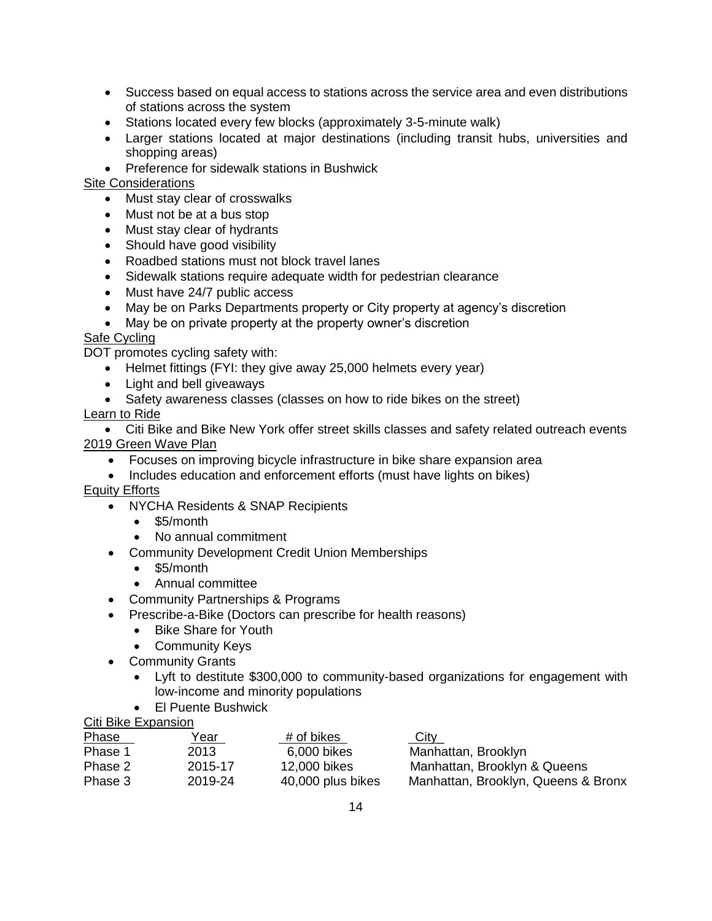- Success based on equal access to stations across the service area and even distributions of stations across the system
- Stations located every few blocks (approximately 3-5-minute walk)
- Larger stations located at major destinations (including transit hubs, universities and shopping areas)
- Preference for sidewalk stations in Bushwick

## Site Considerations

- Must stay clear of crosswalks
- Must not be at a bus stop
- Must stay clear of hydrants
- Should have good visibility
- Roadbed stations must not block travel lanes
- Sidewalk stations require adequate width for pedestrian clearance
- Must have 24/7 public access
- May be on Parks Departments property or City property at agency's discretion
- May be on private property at the property owner's discretion

# Safe Cycling

DOT promotes cycling safety with:

- Helmet fittings (FYI: they give away 25,000 helmets every year)
- Light and bell giveaways
- Safety awareness classes (classes on how to ride bikes on the street)
- Learn to Ride

• Citi Bike and Bike New York offer street skills classes and safety related outreach events 2019 Green Wave Plan

- Focuses on improving bicycle infrastructure in bike share expansion area
- Includes education and enforcement efforts (must have lights on bikes)

### Equity Efforts

- NYCHA Residents & SNAP Recipients
	- \$5/month
	- No annual commitment
- Community Development Credit Union Memberships
	- \$5/month
	- Annual committee
- Community Partnerships & Programs
- Prescribe-a-Bike (Doctors can prescribe for health reasons)
	- Bike Share for Youth
	- Community Keys
- Community Grants
	- Lyft to destitute \$300,000 to community-based organizations for engagement with low-income and minority populations
	- El Puente Bushwick

### Citi Bike Expansion

| Phase   | <u>Year</u> | # of bikes        | City                                |
|---------|-------------|-------------------|-------------------------------------|
| Phase 1 | 2013        | 6,000 bikes       | Manhattan, Brooklyn                 |
| Phase 2 | 2015-17     | 12,000 bikes      | Manhattan, Brooklyn & Queens        |
| Phase 3 | 2019-24     | 40,000 plus bikes | Manhattan, Brooklyn, Queens & Bronx |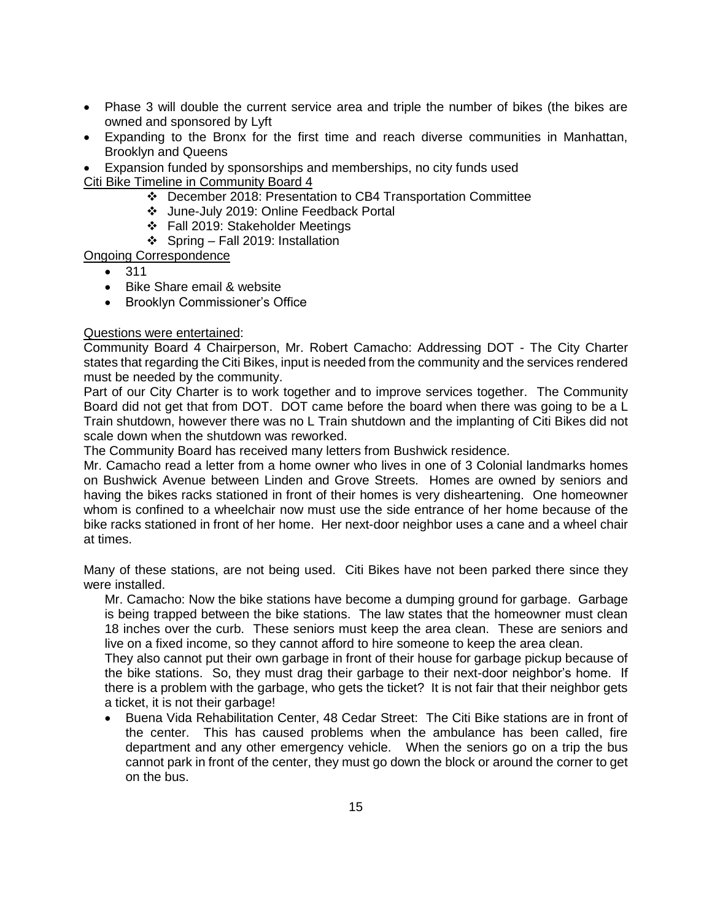- Phase 3 will double the current service area and triple the number of bikes (the bikes are owned and sponsored by Lyft
- Expanding to the Bronx for the first time and reach diverse communities in Manhattan, Brooklyn and Queens
- Expansion funded by sponsorships and memberships, no city funds used

Citi Bike Timeline in Community Board 4

- ❖ December 2018: Presentation to CB4 Transportation Committee
- ❖ June-July 2019: Online Feedback Portal
- ❖ Fall 2019: Stakeholder Meetings
- ❖ Spring Fall 2019: Installation

Ongoing Correspondence

- 311
- Bike Share email & website
- Brooklyn Commissioner's Office

# Questions were entertained:

Community Board 4 Chairperson, Mr. Robert Camacho: Addressing DOT - The City Charter states that regarding the Citi Bikes, input is needed from the community and the services rendered must be needed by the community.

Part of our City Charter is to work together and to improve services together. The Community Board did not get that from DOT. DOT came before the board when there was going to be a L Train shutdown, however there was no L Train shutdown and the implanting of Citi Bikes did not scale down when the shutdown was reworked.

The Community Board has received many letters from Bushwick residence.

Mr. Camacho read a letter from a home owner who lives in one of 3 Colonial landmarks homes on Bushwick Avenue between Linden and Grove Streets. Homes are owned by seniors and having the bikes racks stationed in front of their homes is very disheartening. One homeowner whom is confined to a wheelchair now must use the side entrance of her home because of the bike racks stationed in front of her home. Her next-door neighbor uses a cane and a wheel chair at times.

Many of these stations, are not being used. Citi Bikes have not been parked there since they were installed.

Mr. Camacho: Now the bike stations have become a dumping ground for garbage. Garbage is being trapped between the bike stations. The law states that the homeowner must clean 18 inches over the curb. These seniors must keep the area clean. These are seniors and live on a fixed income, so they cannot afford to hire someone to keep the area clean.

They also cannot put their own garbage in front of their house for garbage pickup because of the bike stations. So, they must drag their garbage to their next-door neighbor's home. If there is a problem with the garbage, who gets the ticket? It is not fair that their neighbor gets a ticket, it is not their garbage!

• Buena Vida Rehabilitation Center, 48 Cedar Street: The Citi Bike stations are in front of the center. This has caused problems when the ambulance has been called, fire department and any other emergency vehicle. When the seniors go on a trip the bus cannot park in front of the center, they must go down the block or around the corner to get on the bus.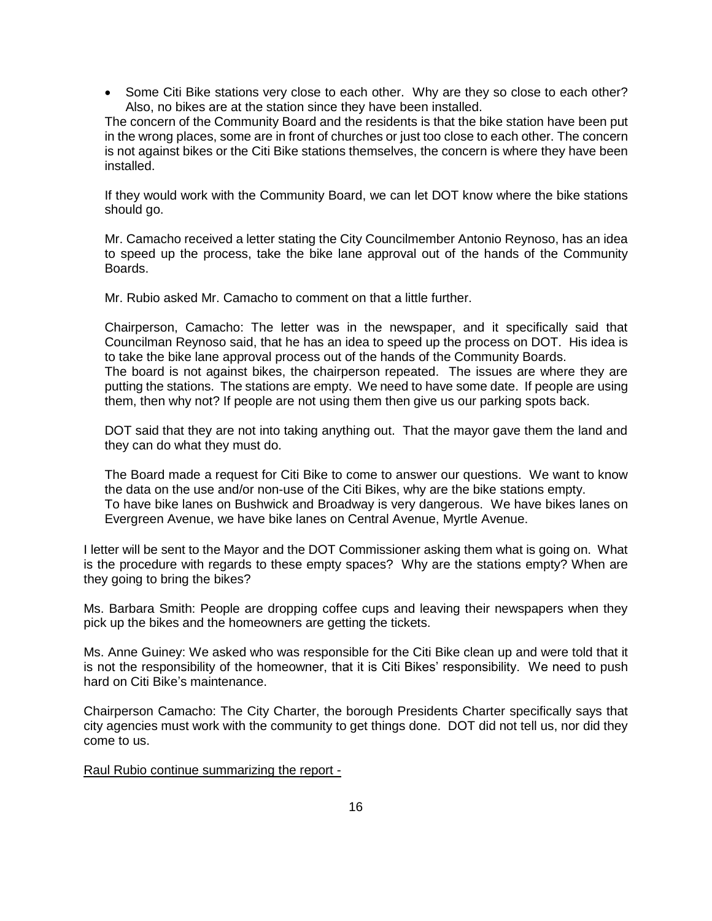• Some Citi Bike stations very close to each other. Why are they so close to each other? Also, no bikes are at the station since they have been installed.

The concern of the Community Board and the residents is that the bike station have been put in the wrong places, some are in front of churches or just too close to each other. The concern is not against bikes or the Citi Bike stations themselves, the concern is where they have been installed.

If they would work with the Community Board, we can let DOT know where the bike stations should go.

Mr. Camacho received a letter stating the City Councilmember Antonio Reynoso, has an idea to speed up the process, take the bike lane approval out of the hands of the Community Boards.

Mr. Rubio asked Mr. Camacho to comment on that a little further.

Chairperson, Camacho: The letter was in the newspaper, and it specifically said that Councilman Reynoso said, that he has an idea to speed up the process on DOT. His idea is to take the bike lane approval process out of the hands of the Community Boards.

The board is not against bikes, the chairperson repeated. The issues are where they are putting the stations. The stations are empty. We need to have some date. If people are using them, then why not? If people are not using them then give us our parking spots back.

DOT said that they are not into taking anything out. That the mayor gave them the land and they can do what they must do.

The Board made a request for Citi Bike to come to answer our questions. We want to know the data on the use and/or non-use of the Citi Bikes, why are the bike stations empty. To have bike lanes on Bushwick and Broadway is very dangerous. We have bikes lanes on Evergreen Avenue, we have bike lanes on Central Avenue, Myrtle Avenue.

I letter will be sent to the Mayor and the DOT Commissioner asking them what is going on. What is the procedure with regards to these empty spaces? Why are the stations empty? When are they going to bring the bikes?

Ms. Barbara Smith: People are dropping coffee cups and leaving their newspapers when they pick up the bikes and the homeowners are getting the tickets.

Ms. Anne Guiney: We asked who was responsible for the Citi Bike clean up and were told that it is not the responsibility of the homeowner, that it is Citi Bikes' responsibility. We need to push hard on Citi Bike's maintenance.

Chairperson Camacho: The City Charter, the borough Presidents Charter specifically says that city agencies must work with the community to get things done. DOT did not tell us, nor did they come to us.

# Raul Rubio continue summarizing the report -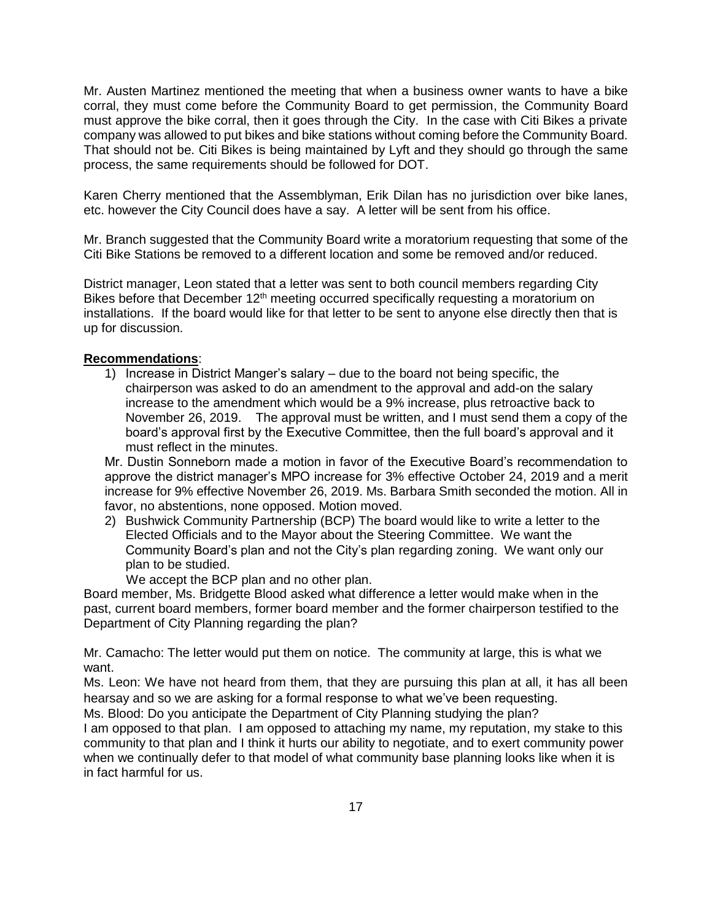Mr. Austen Martinez mentioned the meeting that when a business owner wants to have a bike corral, they must come before the Community Board to get permission, the Community Board must approve the bike corral, then it goes through the City. In the case with Citi Bikes a private company was allowed to put bikes and bike stations without coming before the Community Board. That should not be. Citi Bikes is being maintained by Lyft and they should go through the same process, the same requirements should be followed for DOT.

Karen Cherry mentioned that the Assemblyman, Erik Dilan has no jurisdiction over bike lanes, etc. however the City Council does have a say. A letter will be sent from his office.

Mr. Branch suggested that the Community Board write a moratorium requesting that some of the Citi Bike Stations be removed to a different location and some be removed and/or reduced.

District manager, Leon stated that a letter was sent to both council members regarding City Bikes before that December  $12<sup>th</sup>$  meeting occurred specifically requesting a moratorium on installations. If the board would like for that letter to be sent to anyone else directly then that is up for discussion.

#### **Recommendations**:

1) Increase in District Manger's salary – due to the board not being specific, the chairperson was asked to do an amendment to the approval and add-on the salary increase to the amendment which would be a 9% increase, plus retroactive back to November 26, 2019. The approval must be written, and I must send them a copy of the board's approval first by the Executive Committee, then the full board's approval and it must reflect in the minutes.

Mr. Dustin Sonneborn made a motion in favor of the Executive Board's recommendation to approve the district manager's MPO increase for 3% effective October 24, 2019 and a merit increase for 9% effective November 26, 2019. Ms. Barbara Smith seconded the motion. All in favor, no abstentions, none opposed. Motion moved.

2) Bushwick Community Partnership (BCP) The board would like to write a letter to the Elected Officials and to the Mayor about the Steering Committee. We want the Community Board's plan and not the City's plan regarding zoning. We want only our plan to be studied.

We accept the BCP plan and no other plan.

Board member, Ms. Bridgette Blood asked what difference a letter would make when in the past, current board members, former board member and the former chairperson testified to the Department of City Planning regarding the plan?

Mr. Camacho: The letter would put them on notice. The community at large, this is what we want.

Ms. Leon: We have not heard from them, that they are pursuing this plan at all, it has all been hearsay and so we are asking for a formal response to what we've been requesting.

Ms. Blood: Do you anticipate the Department of City Planning studying the plan?

I am opposed to that plan. I am opposed to attaching my name, my reputation, my stake to this community to that plan and I think it hurts our ability to negotiate, and to exert community power when we continually defer to that model of what community base planning looks like when it is in fact harmful for us.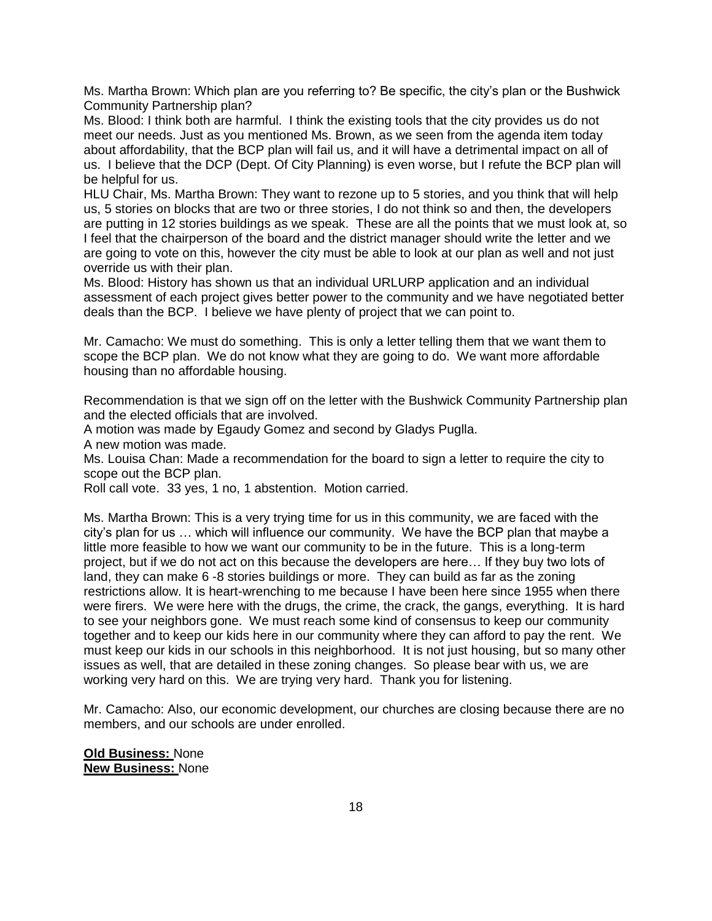Ms. Martha Brown: Which plan are you referring to? Be specific, the city's plan or the Bushwick Community Partnership plan?

Ms. Blood: I think both are harmful. I think the existing tools that the city provides us do not meet our needs. Just as you mentioned Ms. Brown, as we seen from the agenda item today about affordability, that the BCP plan will fail us, and it will have a detrimental impact on all of us. I believe that the DCP (Dept. Of City Planning) is even worse, but I refute the BCP plan will be helpful for us.

HLU Chair, Ms. Martha Brown: They want to rezone up to 5 stories, and you think that will help us, 5 stories on blocks that are two or three stories, I do not think so and then, the developers are putting in 12 stories buildings as we speak. These are all the points that we must look at, so I feel that the chairperson of the board and the district manager should write the letter and we are going to vote on this, however the city must be able to look at our plan as well and not just override us with their plan.

Ms. Blood: History has shown us that an individual URLURP application and an individual assessment of each project gives better power to the community and we have negotiated better deals than the BCP. I believe we have plenty of project that we can point to.

Mr. Camacho: We must do something. This is only a letter telling them that we want them to scope the BCP plan. We do not know what they are going to do. We want more affordable housing than no affordable housing.

Recommendation is that we sign off on the letter with the Bushwick Community Partnership plan and the elected officials that are involved.

A motion was made by Egaudy Gomez and second by Gladys Puglla.

A new motion was made.

Ms. Louisa Chan: Made a recommendation for the board to sign a letter to require the city to scope out the BCP plan.

Roll call vote. 33 yes, 1 no, 1 abstention. Motion carried.

Ms. Martha Brown: This is a very trying time for us in this community, we are faced with the city's plan for us … which will influence our community. We have the BCP plan that maybe a little more feasible to how we want our community to be in the future. This is a long-term project, but if we do not act on this because the developers are here… If they buy two lots of land, they can make 6 -8 stories buildings or more. They can build as far as the zoning restrictions allow. It is heart-wrenching to me because I have been here since 1955 when there were firers. We were here with the drugs, the crime, the crack, the gangs, everything. It is hard to see your neighbors gone. We must reach some kind of consensus to keep our community together and to keep our kids here in our community where they can afford to pay the rent. We must keep our kids in our schools in this neighborhood. It is not just housing, but so many other issues as well, that are detailed in these zoning changes. So please bear with us, we are working very hard on this. We are trying very hard. Thank you for listening.

Mr. Camacho: Also, our economic development, our churches are closing because there are no members, and our schools are under enrolled.

**Old Business:** None **New Business:** None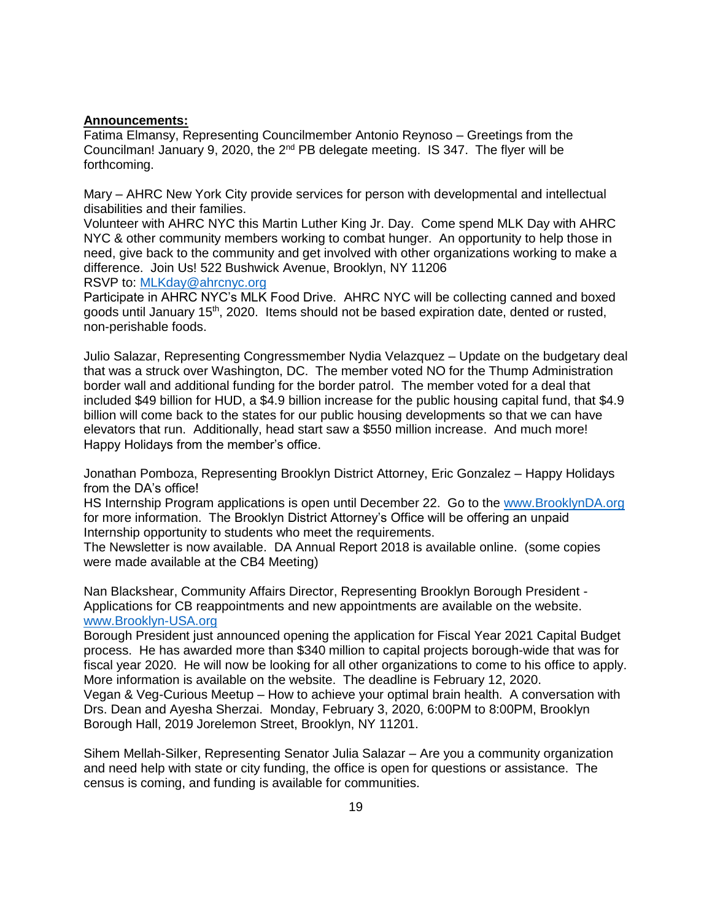#### **Announcements:**

Fatima Elmansy, Representing Councilmember Antonio Reynoso – Greetings from the Councilman! January 9, 2020, the  $2^{nd}$  PB delegate meeting. IS 347. The flyer will be forthcoming.

Mary – AHRC New York City provide services for person with developmental and intellectual disabilities and their families.

Volunteer with AHRC NYC this Martin Luther King Jr. Day. Come spend MLK Day with AHRC NYC & other community members working to combat hunger. An opportunity to help those in need, give back to the community and get involved with other organizations working to make a difference. Join Us! 522 Bushwick Avenue, Brooklyn, NY 11206 RSVP to: [MLKday@ahrcnyc.org](mailto:MLKday@ahrcnyc.org) 

Participate in AHRC NYC's MLK Food Drive. AHRC NYC will be collecting canned and boxed goods until January 15<sup>th</sup>, 2020. Items should not be based expiration date, dented or rusted, non-perishable foods.

Julio Salazar, Representing Congressmember Nydia Velazquez – Update on the budgetary deal that was a struck over Washington, DC. The member voted NO for the Thump Administration border wall and additional funding for the border patrol. The member voted for a deal that included \$49 billion for HUD, a \$4.9 billion increase for the public housing capital fund, that \$4.9 billion will come back to the states for our public housing developments so that we can have elevators that run. Additionally, head start saw a \$550 million increase. And much more! Happy Holidays from the member's office.

Jonathan Pomboza, Representing Brooklyn District Attorney, Eric Gonzalez – Happy Holidays from the DA's office!

HS Internship Program applications is open until December 22. Go to the [www.BrooklynDA.org](http://www.brooklynda.org/) for more information. The Brooklyn District Attorney's Office will be offering an unpaid Internship opportunity to students who meet the requirements.

The Newsletter is now available. DA Annual Report 2018 is available online. (some copies were made available at the CB4 Meeting)

Nan Blackshear, Community Affairs Director, Representing Brooklyn Borough President - Applications for CB reappointments and new appointments are available on the website. [www.Brooklyn-USA.org](http://www.brooklyn-usa.org/)

Borough President just announced opening the application for Fiscal Year 2021 Capital Budget process. He has awarded more than \$340 million to capital projects borough-wide that was for fiscal year 2020. He will now be looking for all other organizations to come to his office to apply. More information is available on the website. The deadline is February 12, 2020. Vegan & Veg-Curious Meetup – How to achieve your optimal brain health. A conversation with Drs. Dean and Ayesha Sherzai. Monday, February 3, 2020, 6:00PM to 8:00PM, Brooklyn Borough Hall, 2019 Jorelemon Street, Brooklyn, NY 11201.

Sihem Mellah-Silker, Representing Senator Julia Salazar – Are you a community organization and need help with state or city funding, the office is open for questions or assistance. The census is coming, and funding is available for communities.